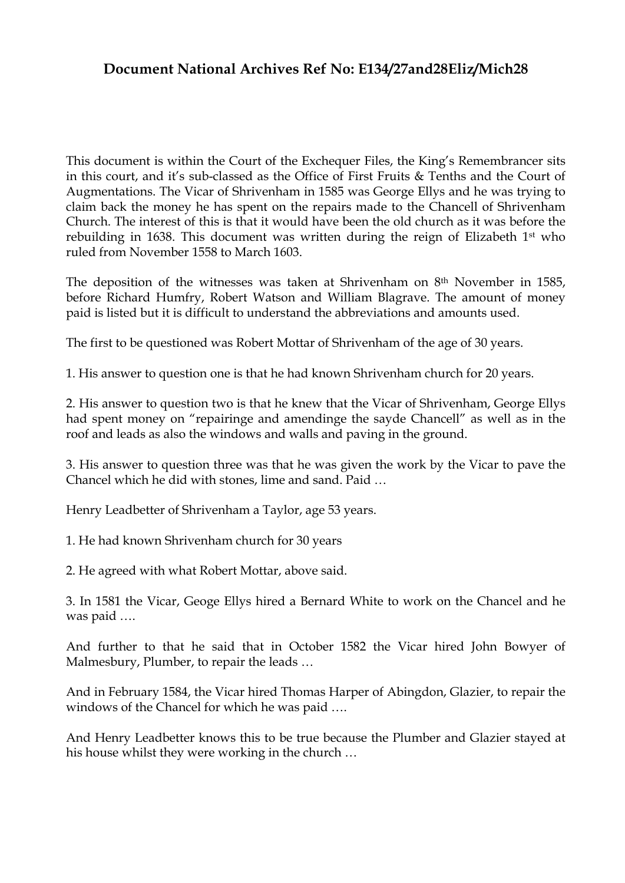## **Document National Archives Ref No: E134/27and28Eliz/Mich28**

This document is within the Court of the Exchequer Files, the King's Remembrancer sits in this court, and it's sub-classed as the Office of First Fruits & Tenths and the Court of Augmentations. The Vicar of Shrivenham in 1585 was George Ellys and he was trying to claim back the money he has spent on the repairs made to the Chancell of Shrivenham Church. The interest of this is that it would have been the old church as it was before the rebuilding in 1638. This document was written during the reign of Elizabeth 1st who ruled from November 1558 to March 1603.

The deposition of the witnesses was taken at Shrivenham on 8th November in 1585, before Richard Humfry, Robert Watson and William Blagrave. The amount of money paid is listed but it is difficult to understand the abbreviations and amounts used.

The first to be questioned was Robert Mottar of Shrivenham of the age of 30 years.

1. His answer to question one is that he had known Shrivenham church for 20 years.

2. His answer to question two is that he knew that the Vicar of Shrivenham, George Ellys had spent money on "repairinge and amendinge the sayde Chancell" as well as in the roof and leads as also the windows and walls and paving in the ground.

3. His answer to question three was that he was given the work by the Vicar to pave the Chancel which he did with stones, lime and sand. Paid …

Henry Leadbetter of Shrivenham a Taylor, age 53 years.

1. He had known Shrivenham church for 30 years

2. He agreed with what Robert Mottar, above said.

3. In 1581 the Vicar, Geoge Ellys hired a Bernard White to work on the Chancel and he was paid ….

And further to that he said that in October 1582 the Vicar hired John Bowyer of Malmesbury, Plumber, to repair the leads …

And in February 1584, the Vicar hired Thomas Harper of Abingdon, Glazier, to repair the windows of the Chancel for which he was paid ….

And Henry Leadbetter knows this to be true because the Plumber and Glazier stayed at his house whilst they were working in the church …